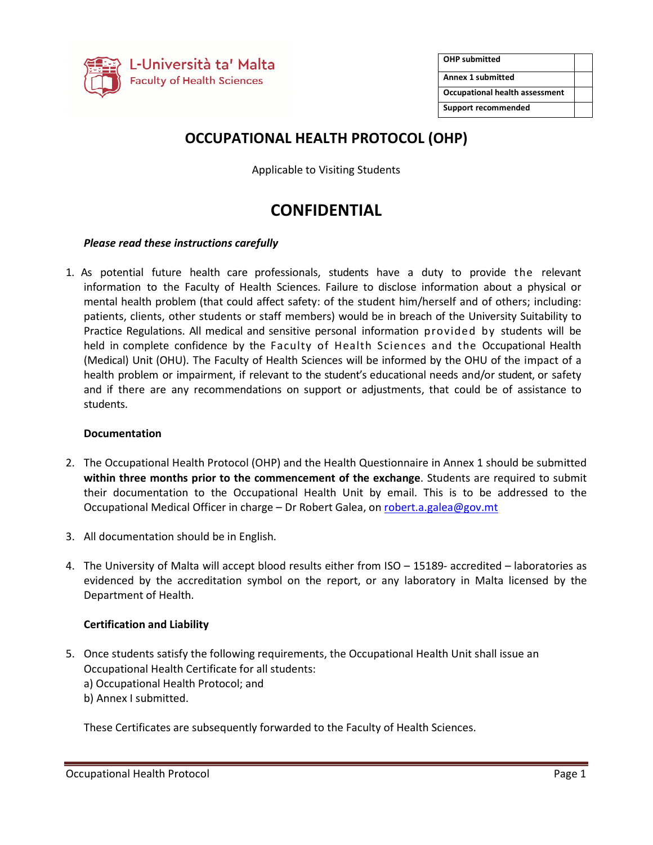

| <b>OHP submitted</b>                  |  |
|---------------------------------------|--|
| <b>Annex 1 submitted</b>              |  |
| <b>Occupational health assessment</b> |  |
| <b>Support recommended</b>            |  |

## **OCCUPATIONAL HEALTH PROTOCOL (OHP)**

Applicable to Visiting Students

# **CONFIDENTIAL**

#### *Please read these instructions carefully*

1. As potential future health care professionals, students have a duty to provide the relevant information to the Faculty of Health Sciences. Failure to disclose information about a physical or mental health problem (that could affect safety: of the student him/herself and of others; including: patients, clients, other students or staff members) would be in breach of the University Suitability to Practice Regulations. All medical and sensitive personal information provided by students will be held in complete confidence by the Faculty of Health Sciences and the Occupational Health (Medical) Unit (OHU). The Faculty of Health Sciences will be informed by the OHU of the impact of a health problem or impairment, if relevant to the student's educational needs and/or student, or safety and if there are any recommendations on support or adjustments, that could be of assistance to students.

#### **Documentation**

- 2. The Occupational Health Protocol (OHP) and the Health Questionnaire in Annex 1 should be submitted **within three months prior to the commencement of the exchange**. Students are required to submit their documentation to the Occupational Health Unit by email. This is to be addressed to the Occupational Medical Officer in charge – Dr Robert Galea, on robert.a.galea@gov.mt
- 3. All documentation should be in English.
- 4. The University of Malta will accept blood results either from ISO 15189- accredited laboratories as evidenced by the accreditation symbol on the report, or any laboratory in Malta licensed by the Department of Health.

#### **Certification and Liability**

- 5. Once students satisfy the following requirements, the Occupational Health Unit shall issue an Occupational Health Certificate for all students:
	- a) Occupational Health Protocol; and
	- b) Annex I submitted.

These Certificates are subsequently forwarded to the Faculty of Health Sciences.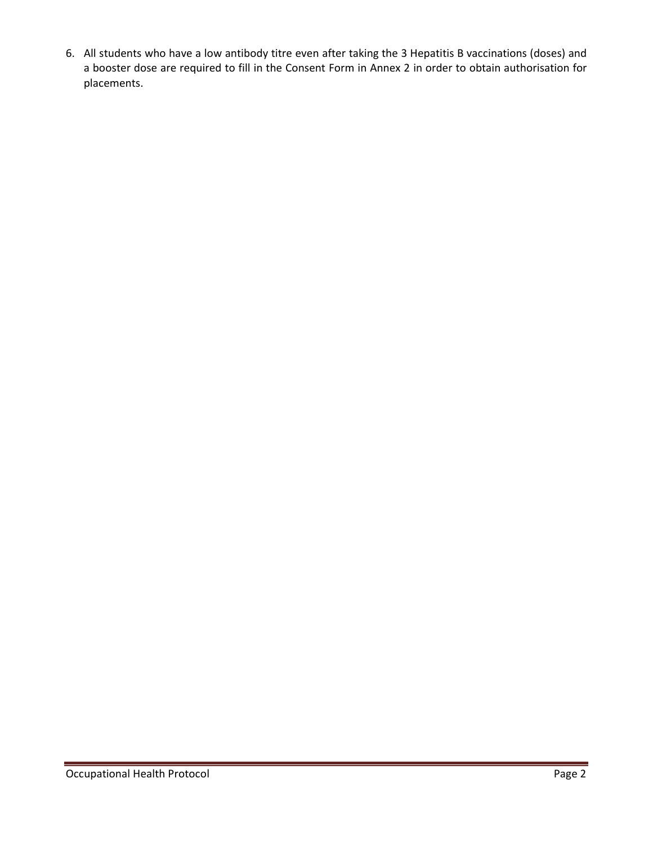6. All students who have a low antibody titre even after taking the 3 Hepatitis B vaccinations (doses) and a booster dose are required to fill in the Consent Form in Annex 2 in order to obtain authorisation for placements.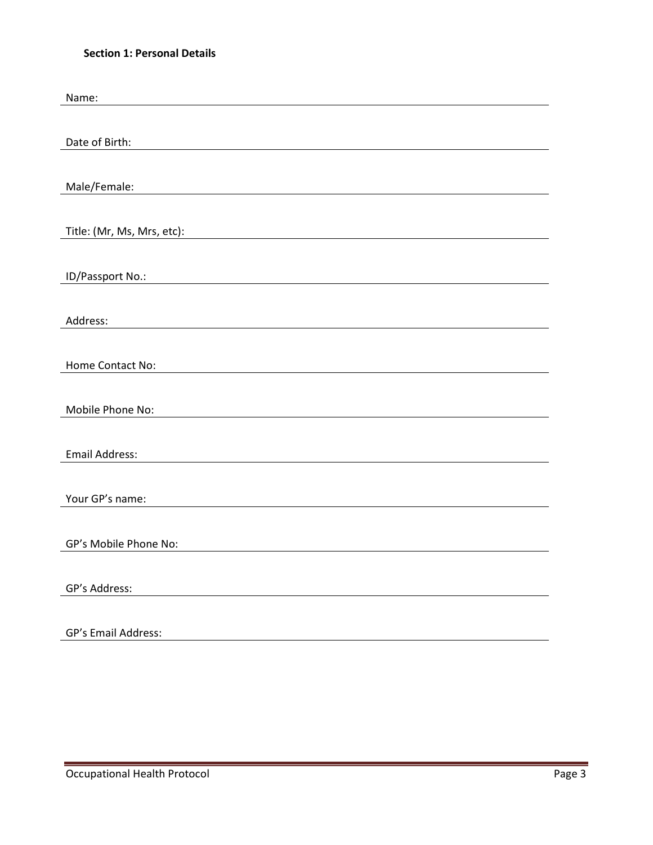## **Section 1: Personal Details**

| Name:                      |
|----------------------------|
|                            |
| Date of Birth:             |
|                            |
|                            |
| Male/Female:               |
|                            |
| Title: (Mr, Ms, Mrs, etc): |
|                            |
| ID/Passport No.:           |
|                            |
|                            |
| Address:                   |
|                            |
| Home Contact No:           |
|                            |
| Mobile Phone No:           |
|                            |
| <b>Email Address:</b>      |
|                            |
|                            |
| Your GP's name:            |
|                            |
| GP's Mobile Phone No:      |
|                            |
| GP's Address:              |
|                            |
| GP's Email Address:        |
|                            |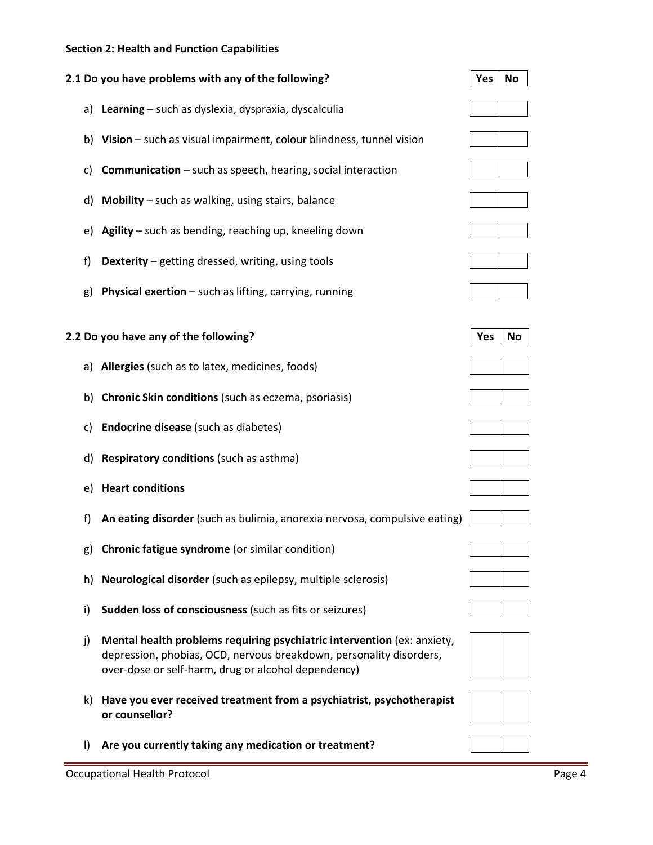## **Section 2: Health and Function Capabilities**

|         | 2.1 Do you have problems with any of the following?                                                                                                                                                   | No<br>Yes        |
|---------|-------------------------------------------------------------------------------------------------------------------------------------------------------------------------------------------------------|------------------|
|         | a) Learning - such as dyslexia, dyspraxia, dyscalculia                                                                                                                                                |                  |
| b)      | Vision - such as visual impairment, colour blindness, tunnel vision                                                                                                                                   |                  |
| C)      | <b>Communication</b> – such as speech, hearing, social interaction                                                                                                                                    |                  |
| d)      | <b>Mobility</b> $-$ such as walking, using stairs, balance                                                                                                                                            |                  |
| e)      | <b>Agility</b> – such as bending, reaching up, kneeling down                                                                                                                                          |                  |
| f)      | <b>Dexterity</b> – getting dressed, writing, using tools                                                                                                                                              |                  |
| g)      | <b>Physical exertion</b> - such as lifting, carrying, running                                                                                                                                         |                  |
|         | 2.2 Do you have any of the following?                                                                                                                                                                 | Yes<br><b>No</b> |
|         | a) Allergies (such as to latex, medicines, foods)                                                                                                                                                     |                  |
| b)      | <b>Chronic Skin conditions</b> (such as eczema, psoriasis)                                                                                                                                            |                  |
| C)      | <b>Endocrine disease</b> (such as diabetes)                                                                                                                                                           |                  |
| d)      | <b>Respiratory conditions (such as asthma)</b>                                                                                                                                                        |                  |
| e)      | <b>Heart conditions</b>                                                                                                                                                                               |                  |
| f)      | An eating disorder (such as bulimia, anorexia nervosa, compulsive eating)                                                                                                                             |                  |
|         | g) Chronic fatigue syndrome (or similar condition)                                                                                                                                                    |                  |
| h)      | Neurological disorder (such as epilepsy, multiple sclerosis)                                                                                                                                          |                  |
| i)      | Sudden loss of consciousness (such as fits or seizures)                                                                                                                                               |                  |
| j)      | Mental health problems requiring psychiatric intervention (ex: anxiety,<br>depression, phobias, OCD, nervous breakdown, personality disorders,<br>over-dose or self-harm, drug or alcohol dependency) |                  |
| k)      | Have you ever received treatment from a psychiatrist, psychotherapist<br>or counsellor?                                                                                                               |                  |
| $\vert$ | Are you currently taking any medication or treatment?                                                                                                                                                 |                  |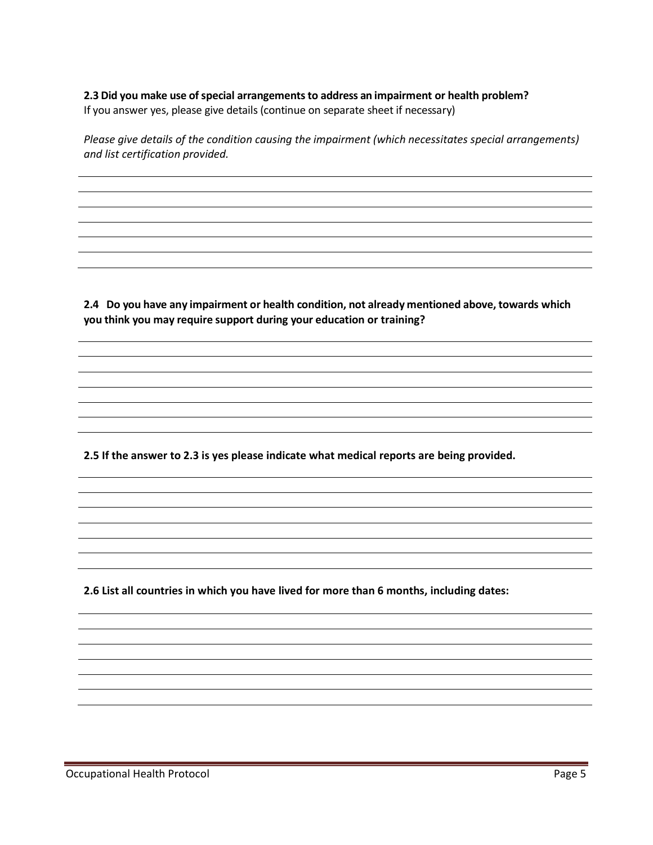**2.3 Did you make use of special arrangements to address an impairment or health problem?**  If you answer yes, please give details (continue on separate sheet if necessary)

*Please give details of the condition causing the impairment (which necessitates special arrangements) and list certification provided.* 

**2.4 Do you have any impairment or health condition, not already mentioned above, towards which you think you may require support during your education or training?** 

**2.5 If the answer to 2.3 is yes please indicate what medical reports are being provided.** 

**2.6 List all countries in which you have lived for more than 6 months, including dates:**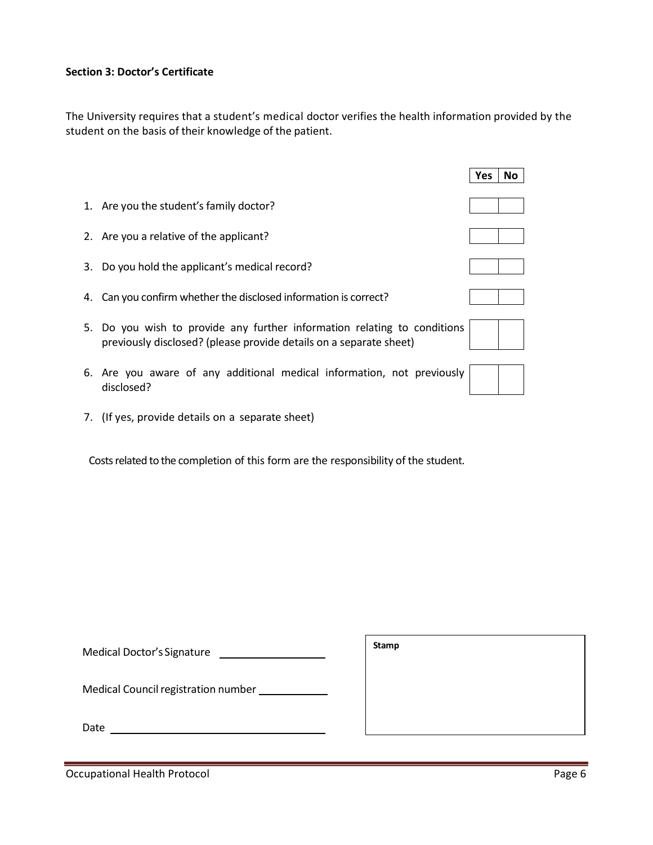### **Section 3: Doctor's Certificate**

The University requires that a student's medical doctor verifies the health information provided by the student on the basis of their knowledge of the patient.

|    |                                                                                                                                             | Yes | No |
|----|---------------------------------------------------------------------------------------------------------------------------------------------|-----|----|
|    | 1. Are you the student's family doctor?                                                                                                     |     |    |
|    | 2. Are you a relative of the applicant?                                                                                                     |     |    |
|    | 3. Do you hold the applicant's medical record?                                                                                              |     |    |
|    | 4. Can you confirm whether the disclosed information is correct?                                                                            |     |    |
| 5. | Do you wish to provide any further information relating to conditions<br>previously disclosed? (please provide details on a separate sheet) |     |    |
|    | 6. Are you aware of any additional medical information, not previously<br>disclosed?                                                        |     |    |

7. (If yes, provide details on a separate sheet)

Costs related to the completion of this form are the responsibility of the student.

| Medical Doctor's Signature          | JLAIIIN |
|-------------------------------------|---------|
| Medical Council registration number |         |

 $\sqrt{\frac{S_{t}}{S_{t}}}\sqrt{\frac{S_{t}}{S_{t}}}\sqrt{\frac{S_{t}}{S_{t}}}\sqrt{\frac{S_{t}}{S_{t}}}}$ 

Date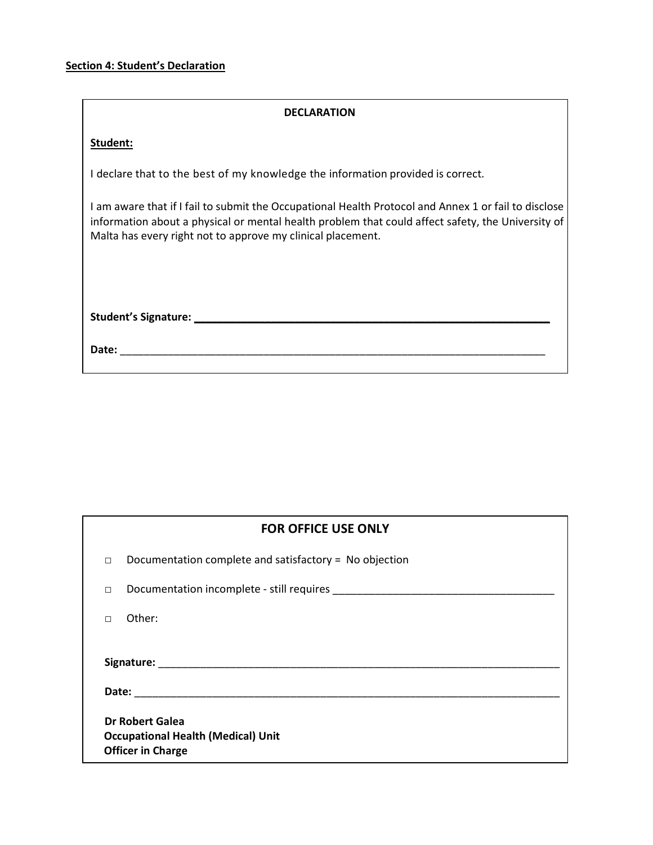#### **DECLARATION**

#### **Student:**

I declare that to the best of my knowledge the information provided is correct.

I am aware that if I fail to submit the Occupational Health Protocol and Annex 1 or fail to disclose information about a physical or mental health problem that could affect safety, the University of Malta has every right not to approve my clinical placement.

**Student's Signature: \_\_\_\_\_\_\_\_\_\_\_\_\_\_\_\_\_\_\_\_\_\_\_\_\_\_\_\_\_\_\_\_\_\_\_\_\_\_\_\_\_\_\_\_\_\_\_\_\_\_\_\_\_\_\_\_\_\_\_\_** 

**Date:** \_\_\_\_\_\_\_\_\_\_\_\_\_\_\_\_\_\_\_\_\_\_\_\_\_\_\_\_\_\_\_\_\_\_\_\_\_\_\_\_\_\_\_\_\_\_\_\_\_\_\_\_\_\_\_\_\_\_\_\_\_\_\_\_\_\_\_\_\_\_\_

| <b>FOR OFFICE USE ONLY</b> |                                                                       |  |  |  |
|----------------------------|-----------------------------------------------------------------------|--|--|--|
| $\Box$                     | Documentation complete and satisfactory = No objection                |  |  |  |
| $\Box$                     |                                                                       |  |  |  |
|                            | Other:                                                                |  |  |  |
| <b>Dr Robert Galea</b>     |                                                                       |  |  |  |
|                            | <b>Occupational Health (Medical) Unit</b><br><b>Officer in Charge</b> |  |  |  |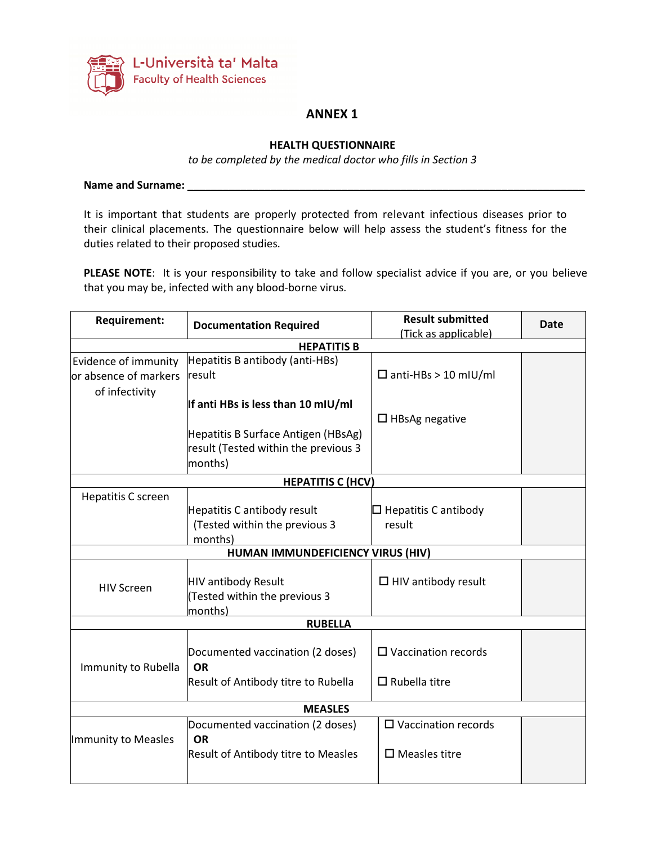

## **ANNEX 1**

#### **HEALTH QUESTIONNAIRE**

*to be completed by the medical doctor who fills in Section 3* 

**Name and Surname: \_\_\_\_\_\_\_\_\_\_\_\_\_\_\_\_\_\_\_\_\_\_\_\_\_\_\_\_\_\_\_\_\_\_\_\_\_\_\_\_\_\_\_\_\_\_\_\_\_\_\_\_\_\_\_\_\_\_\_\_\_\_\_\_\_\_\_** 

It is important that students are properly protected from relevant infectious diseases prior to their clinical placements. The questionnaire below will help assess the student's fitness for the duties related to their proposed studies.

**PLEASE NOTE**: It is your responsibility to take and follow specialist advice if you are, or you believe that you may be, infected with any blood-borne virus.

| <b>Requirement:</b><br><b>Documentation Required</b> |                                            | <b>Result submitted</b><br>(Tick as applicable) | <b>Date</b> |  |  |
|------------------------------------------------------|--------------------------------------------|-------------------------------------------------|-------------|--|--|
|                                                      | <b>HEPATITIS B</b>                         |                                                 |             |  |  |
| Evidence of immunity                                 | Hepatitis B antibody (anti-HBs)            |                                                 |             |  |  |
| or absence of markers                                | result                                     | $\Box$ anti-HBs > 10 mIU/ml                     |             |  |  |
| of infectivity                                       |                                            |                                                 |             |  |  |
|                                                      | If anti HBs is less than 10 mIU/ml         |                                                 |             |  |  |
|                                                      |                                            | $\Box$ HBsAg negative                           |             |  |  |
|                                                      | Hepatitis B Surface Antigen (HBsAg)        |                                                 |             |  |  |
|                                                      | result (Tested within the previous 3       |                                                 |             |  |  |
|                                                      | months)                                    |                                                 |             |  |  |
|                                                      | <b>HEPATITIS C (HCV)</b>                   |                                                 |             |  |  |
| Hepatitis C screen                                   |                                            |                                                 |             |  |  |
|                                                      | Hepatitis C antibody result                | $\square$ Hepatitis C antibody                  |             |  |  |
|                                                      | (Tested within the previous 3              | result                                          |             |  |  |
|                                                      | months)                                    |                                                 |             |  |  |
|                                                      | HUMAN IMMUNDEFICIENCY VIRUS (HIV)          |                                                 |             |  |  |
|                                                      | HIV antibody Result                        | $\Box$ HIV antibody result                      |             |  |  |
| <b>HIV Screen</b>                                    | Tested within the previous 3               |                                                 |             |  |  |
|                                                      | months)                                    |                                                 |             |  |  |
|                                                      | <b>RUBELLA</b>                             |                                                 |             |  |  |
|                                                      |                                            |                                                 |             |  |  |
|                                                      | Documented vaccination (2 doses)           | $\Box$ Vaccination records                      |             |  |  |
| Immunity to Rubella                                  | <b>OR</b>                                  |                                                 |             |  |  |
|                                                      | Result of Antibody titre to Rubella        | $\Box$ Rubella titre                            |             |  |  |
|                                                      |                                            |                                                 |             |  |  |
| <b>MEASLES</b>                                       |                                            |                                                 |             |  |  |
|                                                      | Documented vaccination (2 doses)           | $\square$ Vaccination records                   |             |  |  |
| Immunity to Measles                                  | <b>OR</b>                                  |                                                 |             |  |  |
|                                                      | <b>Result of Antibody titre to Measles</b> | $\square$ Measles titre                         |             |  |  |
|                                                      |                                            |                                                 |             |  |  |
|                                                      |                                            |                                                 |             |  |  |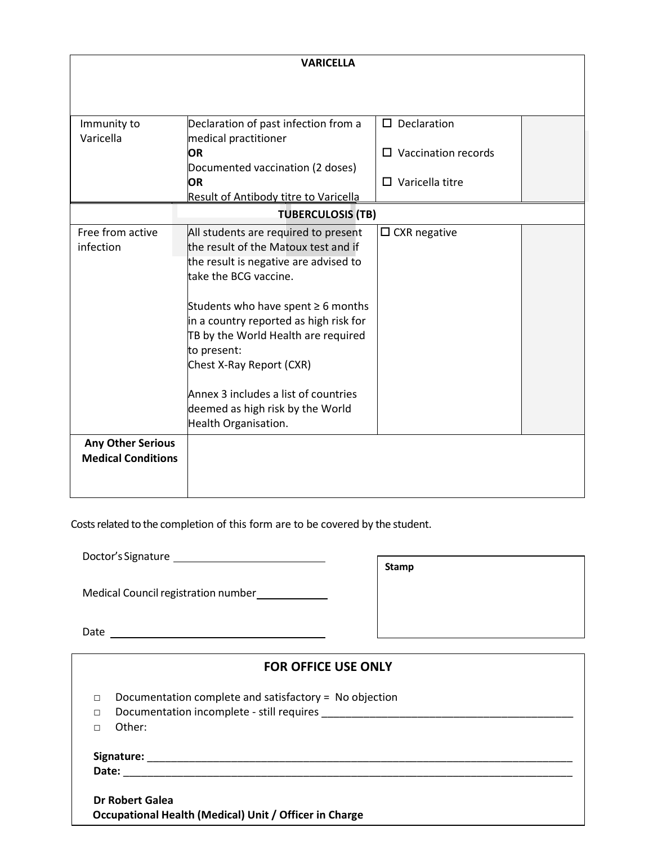| <b>VARICELLA</b>                                      |                                                                                                                                                                                                                                                                                           |                            |  |  |
|-------------------------------------------------------|-------------------------------------------------------------------------------------------------------------------------------------------------------------------------------------------------------------------------------------------------------------------------------------------|----------------------------|--|--|
|                                                       |                                                                                                                                                                                                                                                                                           |                            |  |  |
| Immunity to                                           | Declaration of past infection from a                                                                                                                                                                                                                                                      | $\square$ Declaration      |  |  |
| Varicella                                             | medical practitioner<br><b>OR</b>                                                                                                                                                                                                                                                         | $\Box$ Vaccination records |  |  |
|                                                       | Documented vaccination (2 doses)                                                                                                                                                                                                                                                          |                            |  |  |
|                                                       | OR                                                                                                                                                                                                                                                                                        | $\Box$ Varicella titre     |  |  |
|                                                       | <b>Result of Antibody titre to Varicella</b>                                                                                                                                                                                                                                              |                            |  |  |
|                                                       | <b>TUBERCULOSIS (TB)</b>                                                                                                                                                                                                                                                                  |                            |  |  |
| Free from active<br>infection                         | All students are required to present<br>the result of the Matoux test and if<br>the result is negative are advised to<br>take the BCG vaccine.<br>Students who have spent $\geq 6$ months<br>in a country reported as high risk for<br>TB by the World Health are required<br>to present: | $\Box$ CXR negative        |  |  |
|                                                       | Chest X-Ray Report (CXR)<br>Annex 3 includes a list of countries<br>deemed as high risk by the World<br>Health Organisation.                                                                                                                                                              |                            |  |  |
| <b>Any Other Serious</b><br><b>Medical Conditions</b> |                                                                                                                                                                                                                                                                                           |                            |  |  |

Costs related to the completion of this form are to be covered by the student.

Doctor's Signature

| <b>Stamp</b> |
|--------------|
|--------------|

Medical Council registration number\_\_\_\_\_\_\_\_\_\_\_\_

Date

| <b>FOR OFFICE USE ONLY</b>                                                         |                                                                                                       |  |  |
|------------------------------------------------------------------------------------|-------------------------------------------------------------------------------------------------------|--|--|
| п<br>П<br>Other:                                                                   | Documentation complete and satisfactory = $No$ objection<br>Documentation incomplete - still requires |  |  |
|                                                                                    |                                                                                                       |  |  |
| Date:<br>Dr Robert Galea<br>Occupational Health (Medical) Unit / Officer in Charge |                                                                                                       |  |  |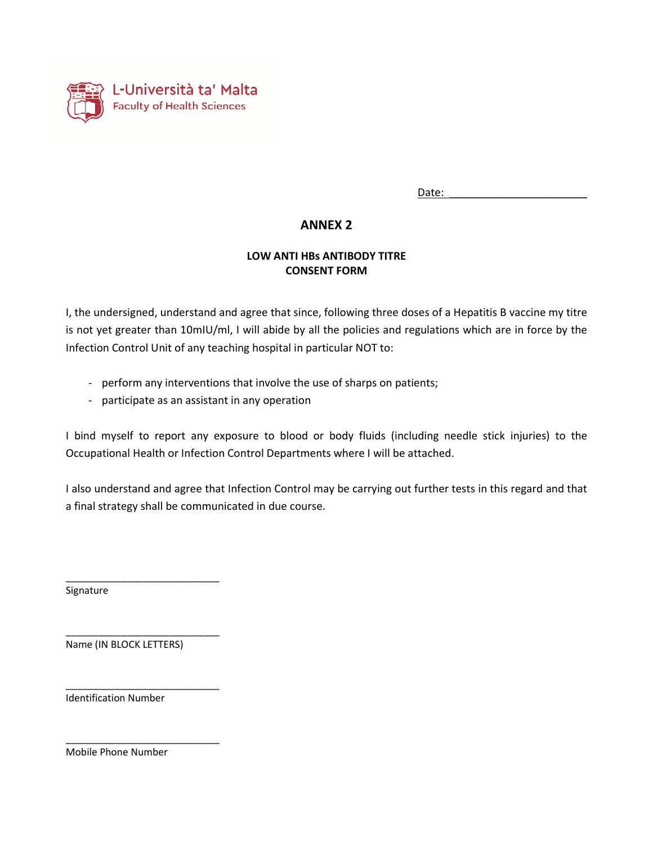

Date:

## **ANNEX 2**

### **LOW ANTI HBs ANTIBODY TITRE CONSENT FORM**

I, the undersigned, understand and agree that since, following three doses of a Hepatitis B vaccine my titre is not yet greater than 10mIU/ml, I will abide by all the policies and regulations which are in force by the Infection Control Unit of any teaching hospital in particular NOT to:

- perform any interventions that involve the use of sharps on patients;
- participate as an assistant in any operation

I bind myself to report any exposure to blood or body fluids (including needle stick injuries) to the Occupational Health or Infection Control Departments where I will be attached.

I also understand and agree that Infection Control may be carrying out further tests in this regard and that a final strategy shall be communicated in due course.

Signature

Name (IN BLOCK LETTERS)

\_\_\_\_\_\_\_\_\_\_\_\_\_\_\_\_\_\_\_\_\_\_\_\_\_\_\_\_

\_\_\_\_\_\_\_\_\_\_\_\_\_\_\_\_\_\_\_\_\_\_\_\_\_\_\_\_

\_\_\_\_\_\_\_\_\_\_\_\_\_\_\_\_\_\_\_\_\_\_\_\_\_\_\_\_

\_\_\_\_\_\_\_\_\_\_\_\_\_\_\_\_\_\_\_\_\_\_\_\_\_\_\_\_

Identification Number

Mobile Phone Number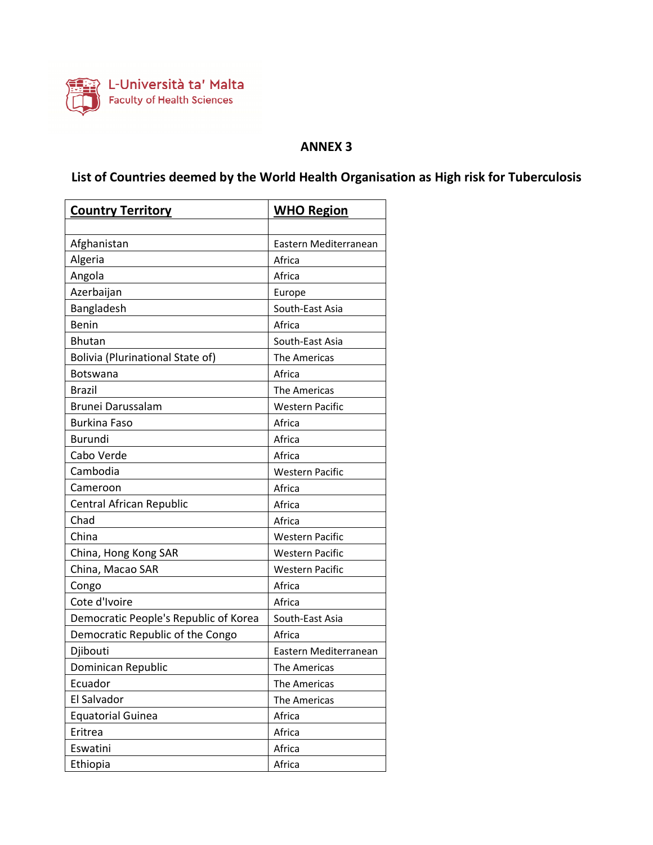

## **ANNEX 3**

# **List of Countries deemed by the World Health Organisation as High risk for Tuberculosis**

| <b>Country Territory</b>                | <b>WHO Region</b>      |
|-----------------------------------------|------------------------|
|                                         |                        |
| Afghanistan                             | Eastern Mediterranean  |
| Algeria                                 | Africa                 |
| Angola                                  | Africa                 |
| Azerbaijan                              | Europe                 |
| Bangladesh                              | South-East Asia        |
| Benin                                   | Africa                 |
| <b>Bhutan</b>                           | South-East Asia        |
| <b>Bolivia (Plurinational State of)</b> | The Americas           |
| Botswana                                | Africa                 |
| <b>Brazil</b>                           | The Americas           |
| Brunei Darussalam                       | <b>Western Pacific</b> |
| <b>Burkina Faso</b>                     | Africa                 |
| <b>Burundi</b>                          | Africa                 |
| Cabo Verde                              | Africa                 |
| Cambodia                                | <b>Western Pacific</b> |
| Cameroon                                | Africa                 |
| Central African Republic                | Africa                 |
| Chad                                    | Africa                 |
| China                                   | <b>Western Pacific</b> |
| China, Hong Kong SAR                    | <b>Western Pacific</b> |
| China, Macao SAR                        | <b>Western Pacific</b> |
| Congo                                   | Africa                 |
| Cote d'Ivoire                           | Africa                 |
| Democratic People's Republic of Korea   | South-East Asia        |
| Democratic Republic of the Congo        | Africa                 |
| Djibouti                                | Eastern Mediterranean  |
| Dominican Republic                      | <b>The Americas</b>    |
| Ecuador                                 | The Americas           |
| El Salvador                             | The Americas           |
| <b>Equatorial Guinea</b>                | Africa                 |
| Eritrea                                 | Africa                 |
| Eswatini                                | Africa                 |
| Ethiopia                                | Africa                 |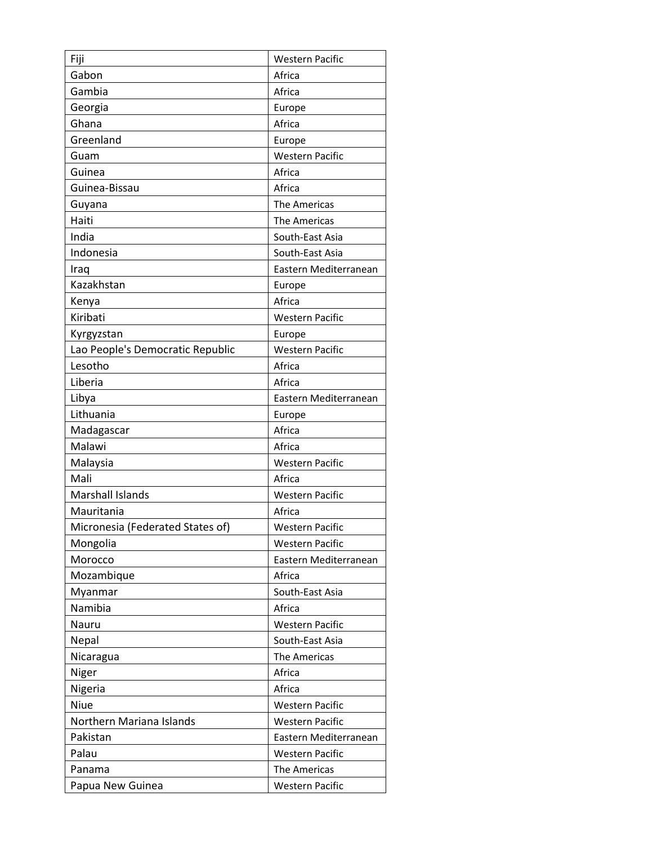| Fiji                             | <b>Western Pacific</b> |
|----------------------------------|------------------------|
| Gabon                            | Africa                 |
| Gambia                           | Africa                 |
| Georgia                          | Europe                 |
| Ghana                            | Africa                 |
| Greenland                        | Europe                 |
| Guam                             | <b>Western Pacific</b> |
| Guinea                           | Africa                 |
| Guinea-Bissau                    | Africa                 |
| Guyana                           | The Americas           |
| Haiti                            | The Americas           |
| India                            | South-East Asia        |
| Indonesia                        | South-East Asia        |
| Iraq                             | Eastern Mediterranean  |
| Kazakhstan                       | Europe                 |
| Kenya                            | Africa                 |
| Kiribati                         | <b>Western Pacific</b> |
| Kyrgyzstan                       | Europe                 |
| Lao People's Democratic Republic | <b>Western Pacific</b> |
| Lesotho                          | Africa                 |
| Liberia                          | Africa                 |
| Libya                            | Eastern Mediterranean  |
| Lithuania                        | Europe                 |
| Madagascar                       | Africa                 |
| Malawi                           | Africa                 |
| Malaysia                         | <b>Western Pacific</b> |
| Mali                             | Africa                 |
| <b>Marshall Islands</b>          | <b>Western Pacific</b> |
| Mauritania                       | Africa                 |
| Micronesia (Federated States of) | <b>Western Pacific</b> |
| Mongolia                         | <b>Western Pacific</b> |
| Morocco                          | Eastern Mediterranean  |
| Mozambique                       | Africa                 |
| Myanmar                          | South-East Asia        |
| Namibia                          | Africa                 |
| Nauru                            | Western Pacific        |
| Nepal                            | South-East Asia        |
| Nicaragua                        | The Americas           |
| Niger                            | Africa                 |
| Nigeria                          | Africa                 |
| Niue                             | <b>Western Pacific</b> |
| Northern Mariana Islands         | <b>Western Pacific</b> |
| Pakistan                         | Eastern Mediterranean  |
| Palau                            | <b>Western Pacific</b> |
| Panama                           | The Americas           |
| Papua New Guinea                 | <b>Western Pacific</b> |